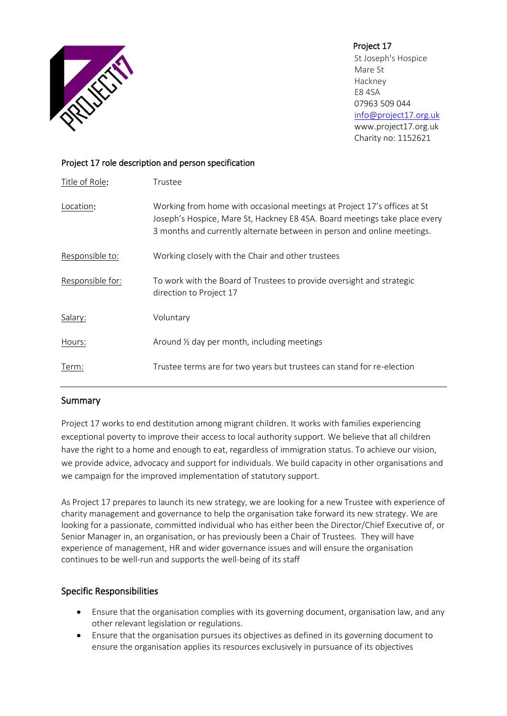

Project 17 St Joseph's Hospice Mare St Hackney E8 4SA 07963 509 044 [info@project17.org.uk](mailto:info@project17.org.uk) [www.project17.org.uk](http://www.project17.org.uk/) Charity no: 1152621

## Project 17 role description and person specification

| Title of Role:   | Trustee                                                                                                                                                                                                                           |
|------------------|-----------------------------------------------------------------------------------------------------------------------------------------------------------------------------------------------------------------------------------|
| Location:        | Working from home with occasional meetings at Project 17's offices at St<br>Joseph's Hospice, Mare St, Hackney E8 4SA. Board meetings take place every<br>3 months and currently alternate between in person and online meetings. |
| Responsible to:  | Working closely with the Chair and other trustees                                                                                                                                                                                 |
| Responsible for: | To work with the Board of Trustees to provide oversight and strategic<br>direction to Project 17                                                                                                                                  |
| Salary:          | Voluntary                                                                                                                                                                                                                         |
| Hours:           | Around $\frac{1}{2}$ day per month, including meetings                                                                                                                                                                            |
| Term:            | Trustee terms are for two years but trustees can stand for re-election                                                                                                                                                            |

# Summary

Project 17 works to end destitution among migrant children. It works with families experiencing exceptional poverty to improve their access to local authority support. We believe that all children have the right to a home and enough to eat, regardless of immigration status. To achieve our vision, we provide advice, advocacy and support for individuals. We build capacity in other organisations and we campaign for the improved implementation of statutory support.

As Project 17 prepares to launch its new strategy, we are looking for a new Trustee with experience of charity management and governance to help the organisation take forward its new strategy. We are looking for a passionate, committed individual who has either been the Director/Chief Executive of, or Senior Manager in, an organisation, or has previously been a Chair of Trustees. They will have experience of management, HR and wider governance issues and will ensure the organisation continues to be well-run and supports the well-being of its staff

# Specific Responsibilities

- Ensure that the organisation complies with its governing document, organisation law, and any other relevant legislation or regulations.
- Ensure that the organisation pursues its objectives as defined in its governing document to ensure the organisation applies its resources exclusively in pursuance of its objectives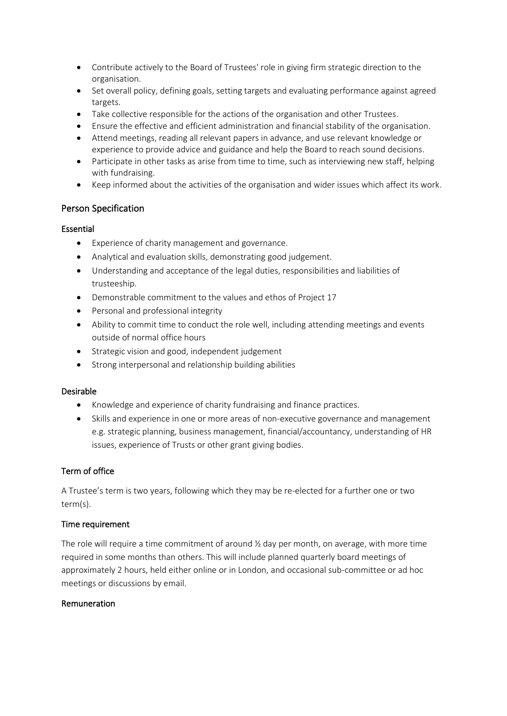- Contribute actively to the Board of Trustees' role in giving firm strategic direction to the organisation.
- Set overall policy, defining goals, setting targets and evaluating performance against agreed targets.
- Take collective responsible for the actions of the organisation and other Trustees.
- Ensure the effective and efficient administration and financial stability of the organisation.
- Attend meetings, reading all relevant papers in advance, and use relevant knowledge or experience to provide advice and guidance and help the Board to reach sound decisions.
- Participate in other tasks as arise from time to time, such as interviewing new staff, helping with fundraising.
- Keep informed about the activities of the organisation and wider issues which affect its work.

## Person Specification

### Essential

- Experience of charity management and governance.
- Analytical and evaluation skills, demonstrating good judgement.
- Understanding and acceptance of the legal duties, responsibilities and liabilities of trusteeship.
- Demonstrable commitment to the values and ethos of Project 17
- Personal and professional integrity
- Ability to commit time to conduct the role well, including attending meetings and events outside of normal office hours
- Strategic vision and good, independent judgement
- Strong interpersonal and relationship building abilities

### Desirable

- Knowledge and experience of charity fundraising and finance practices.
- Skills and experience in one or more areas of non-executive governance and management e.g. strategic planning, business management, financial/accountancy, understanding of HR issues, experience of Trusts or other grant giving bodies.

### Term of office

A Trustee's term is two years, following which they may be re-elected for a further one or two term(s).

### Time requirement

The role will require a time commitment of around  $\frac{1}{2}$  day per month, on average, with more time required in some months than others. This will include planned quarterly board meetings of approximately 2 hours, held either online or in London, and occasional sub-committee or ad hoc meetings or discussions by email.

### Remuneration